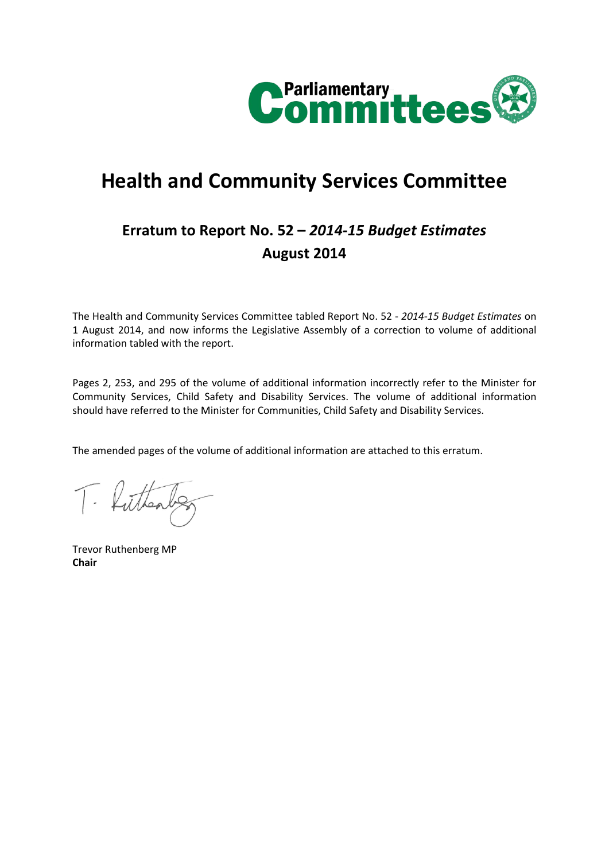

## **Health and Community Services Committee**

### **Erratum to Report No. 52 –** *2014-15 Budget Estimates* **August 2014**

The Health and Community Services Committee tabled Report No. 52 - *2014-15 Budget Estimates* on 1 August 2014, and now informs the Legislative Assembly of a correction to volume of additional information tabled with the report.

Pages 2, 253, and 295 of the volume of additional information incorrectly refer to the Minister for Community Services, Child Safety and Disability Services. The volume of additional information should have referred to the Minister for Communities, Child Safety and Disability Services.

The amended pages of the volume of additional information are attached to this erratum.

T. Rutte

Trevor Ruthenberg MP **Chair**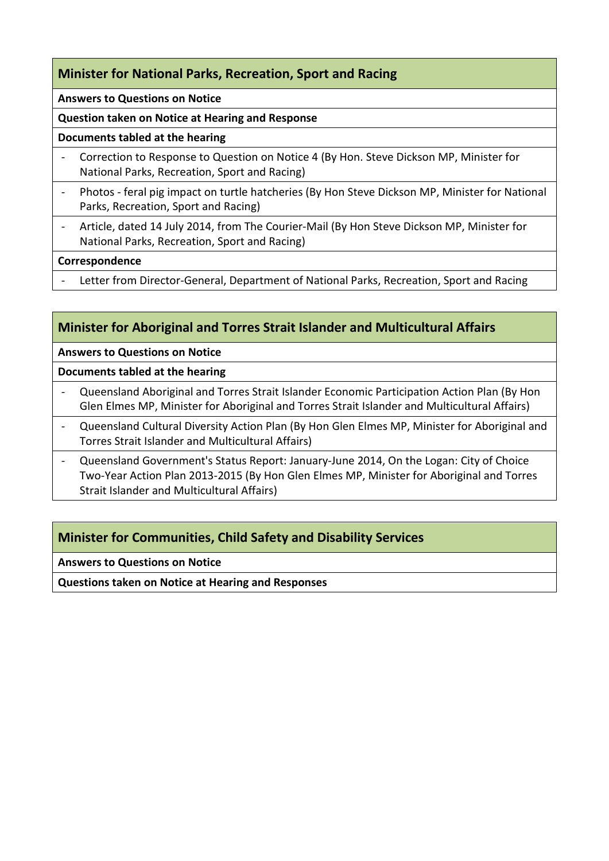#### **Minister for National Parks, Recreation, Sport and Racing**

**Answers to Questions on Notice**

#### **Question taken on Notice at Hearing and Response**

#### **Documents tabled at the hearing**

- Correction to Response to Question on Notice 4 (By Hon. Steve Dickson MP, Minister for National Parks, Recreation, Sport and Racing)
- Photos feral pig impact on turtle hatcheries (By Hon Steve Dickson MP, Minister for National Parks, Recreation, Sport and Racing)
- Article, dated 14 July 2014, from The Courier-Mail (By Hon Steve Dickson MP, Minister for National Parks, Recreation, Sport and Racing)

#### **Correspondence**

Letter from Director-General, Department of National Parks, Recreation, Sport and Racing

#### **Minister for Aboriginal and Torres Strait Islander and Multicultural Affairs**

#### **Answers to Questions on Notice**

#### **Documents tabled at the hearing**

- Queensland Aboriginal and Torres Strait Islander Economic Participation Action Plan (By Hon Glen Elmes MP, Minister for Aboriginal and Torres Strait Islander and Multicultural Affairs)
- Queensland Cultural Diversity Action Plan (By Hon Glen Elmes MP, Minister for Aboriginal and Torres Strait Islander and Multicultural Affairs)
- Queensland Government's Status Report: January-June 2014, On the Logan: City of Choice Two-Year Action Plan 2013-2015 (By Hon Glen Elmes MP, Minister for Aboriginal and Torres Strait Islander and Multicultural Affairs)

#### **Minister for Communities, Child Safety and Disability Services**

**Answers to Questions on Notice**

**Questions taken on Notice at Hearing and Responses**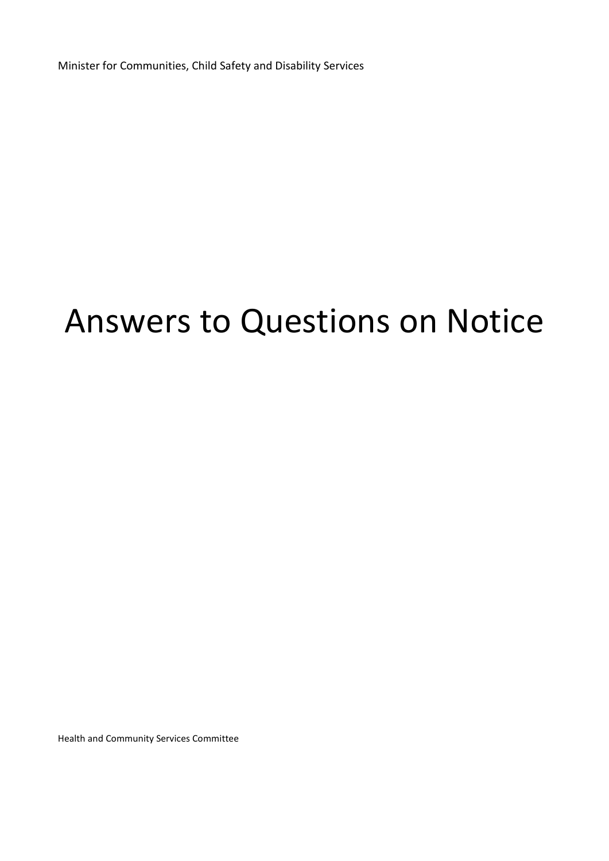Minister for Communities, Child Safety and Disability Services

## Answers to Questions on Notice

Health and Community Services Committee